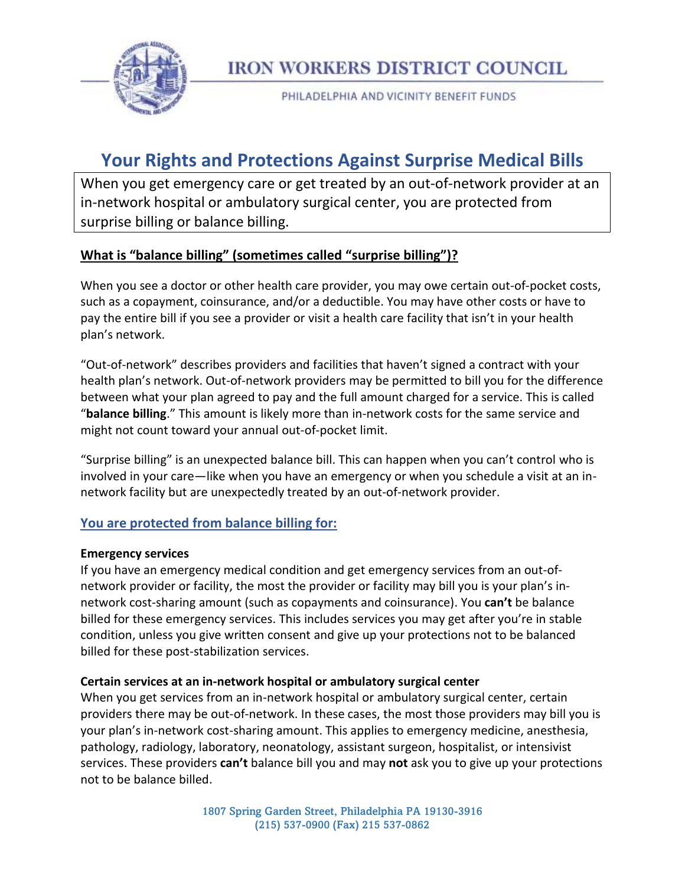

**IRON WORKERS DISTRICT COUNCIL** 

PHILADELPHIA AND VICINITY BENEFIT FUNDS

# **Your Rights and Protections Against Surprise Medical Bills**

When you get emergency care or get treated by an out-of-network provider at an in-network hospital or ambulatory surgical center, you are protected from surprise billing or balance billing.

# **What is "balance billing" (sometimes called "surprise billing")?**

When you see a doctor or other health care provider, you may owe certain out-of-pocket costs, such as a copayment, coinsurance, and/or a deductible. You may have other costs or have to pay the entire bill if you see a provider or visit a health care facility that isn't in your health plan's network.

"Out-of-network" describes providers and facilities that haven't signed a contract with your health plan's network. Out-of-network providers may be permitted to bill you for the difference between what your plan agreed to pay and the full amount charged for a service. This is called "**balance billing**." This amount is likely more than in-network costs for the same service and might not count toward your annual out-of-pocket limit.

"Surprise billing" is an unexpected balance bill. This can happen when you can't control who is involved in your care—like when you have an emergency or when you schedule a visit at an innetwork facility but are unexpectedly treated by an out-of-network provider.

### **You are protected from balance billing for:**

#### **Emergency services**

If you have an emergency medical condition and get emergency services from an out-ofnetwork provider or facility, the most the provider or facility may bill you is your plan's innetwork cost-sharing amount (such as copayments and coinsurance). You **can't** be balance billed for these emergency services. This includes services you may get after you're in stable condition, unless you give written consent and give up your protections not to be balanced billed for these post-stabilization services.

#### **Certain services at an in-network hospital or ambulatory surgical center**

When you get services from an in-network hospital or ambulatory surgical center, certain providers there may be out-of-network. In these cases, the most those providers may bill you is your plan's in-network cost-sharing amount. This applies to emergency medicine, anesthesia, pathology, radiology, laboratory, neonatology, assistant surgeon, hospitalist, or intensivist services. These providers **can't** balance bill you and may **not** ask you to give up your protections not to be balance billed.